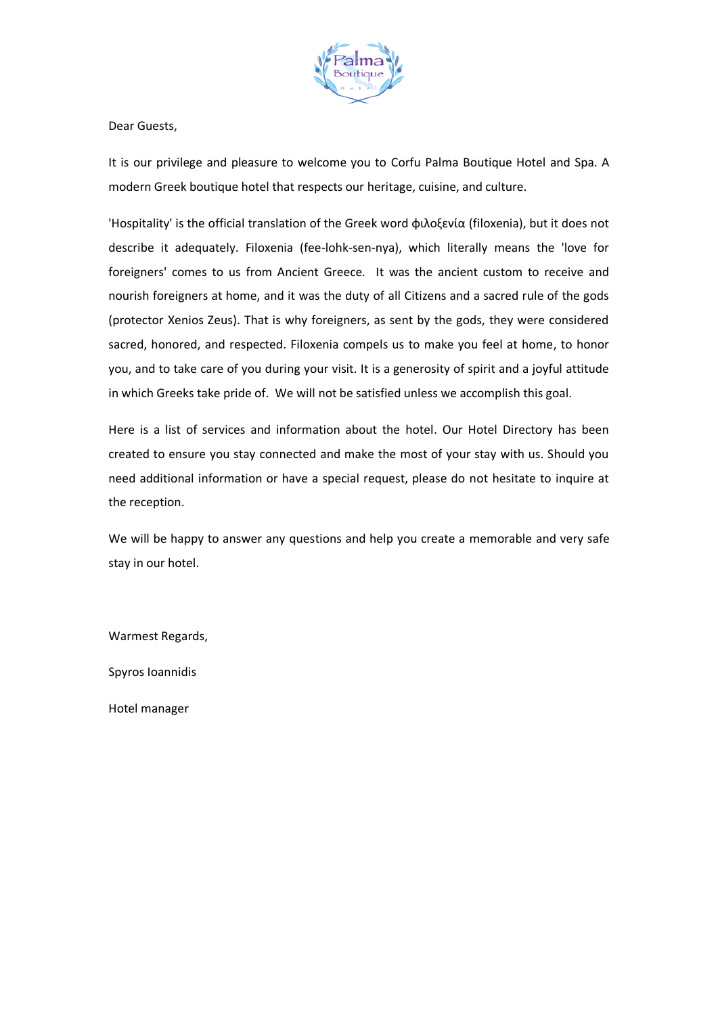

Dear Guests,

It is our privilege and pleasure to welcome you to Corfu Palma Boutique Hotel and Spa. A modern Greek boutique hotel that respects our heritage, cuisine, and culture.

'Hospitality' is the official translation of the Greek word φιλοξενία (filoxenia), but it does not describe it adequately. Filoxenia (fee-lohk-sen-nya), which literally means the 'love for foreigners' comes to us from Ancient Greece. It was the ancient custom to receive and nourish foreigners at home, and it was the duty of all Citizens and a sacred rule of the gods (protector Xenios Zeus). That is why foreigners, as sent by the gods, they were considered sacred, honored, and respected. Filoxenia compels us to make you feel at home, to honor you, and to take care of you during your visit. It is a generosity of spirit and a joyful attitude in which Greeks take pride of. We will not be satisfied unless we accomplish this goal.

Here is a list of services and information about the hotel. Our Hotel Directory has been created to ensure you stay connected and make the most of your stay with us. Should you need additional information or have a special request, please do not hesitate to inquire at the reception.

We will be happy to answer any questions and help you create a memorable and very safe stay in our hotel.

Warmest Regards,

Spyros Ioannidis

Hotel manager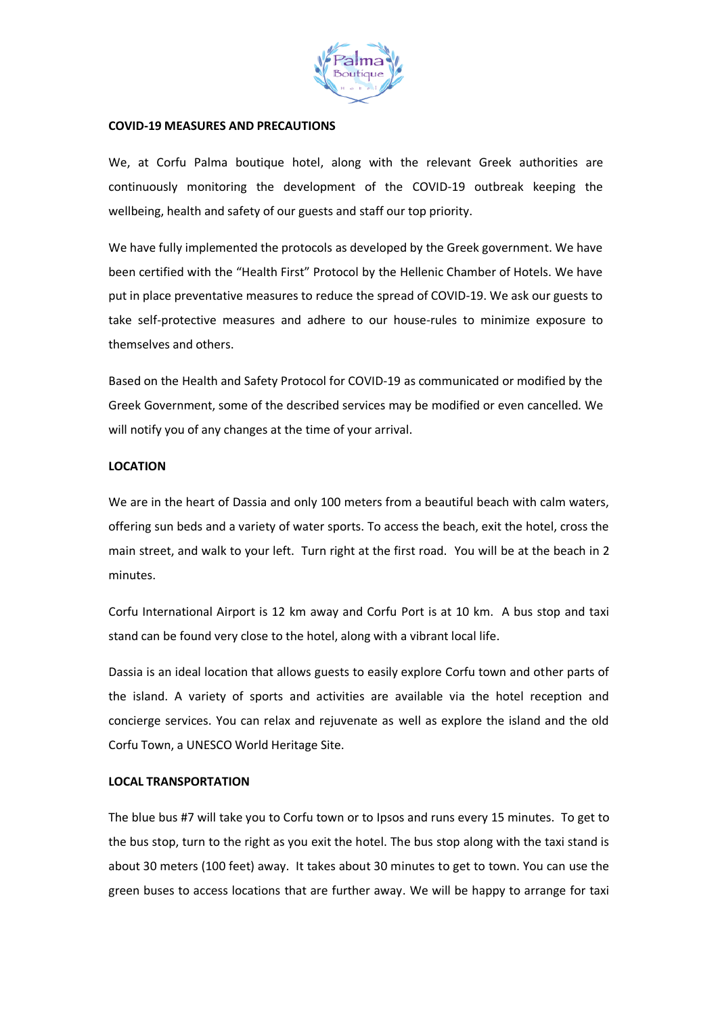

### **COVID-19 MEASURES AND PRECAUTIONS**

We, at Corfu Palma boutique hotel, along with the relevant Greek authorities are continuously monitoring the development of the COVID-19 outbreak keeping the wellbeing, health and safety of our guests and staff our top priority.

We have fully implemented the protocols as developed by the Greek government. We have been certified with the "Health First" Protocol by the Hellenic Chamber of Hotels. We have put in place preventative measures to reduce the spread of COVID-19. We ask our guests to take self-protective measures and adhere to our house-rules to minimize exposure to themselves and others.

Based on the Health and Safety Protocol for COVID-19 as communicated or modified by the Greek Government, some of the described services may be modified or even cancelled. We will notify you of any changes at the time of your arrival.

## **LOCATION**

We are in the heart of Dassia and only 100 meters from a beautiful beach with calm waters, offering sun beds and a variety of water sports. To access the beach, exit the hotel, cross the main street, and walk to your left. Turn right at the first road. You will be at the beach in 2 minutes.

Corfu International Airport is 12 km away and Corfu Port is at 10 km. A bus stop and taxi stand can be found very close to the hotel, along with a vibrant local life.

Dassia is an ideal location that allows guests to easily explore Corfu town and other parts of the island. A variety of sports and activities are available via the hotel reception and concierge services. You can relax and rejuvenate as well as explore the island and the old Corfu Town, a UNESCO World Heritage Site.

## **LOCAL TRANSPORTATION**

The blue bus #7 will take you to Corfu town or to Ipsos and runs every 15 minutes. To get to the bus stop, turn to the right as you exit the hotel. The bus stop along with the taxi stand is about 30 meters (100 feet) away. It takes about 30 minutes to get to town. You can use the green buses to access locations that are further away. We will be happy to arrange for taxi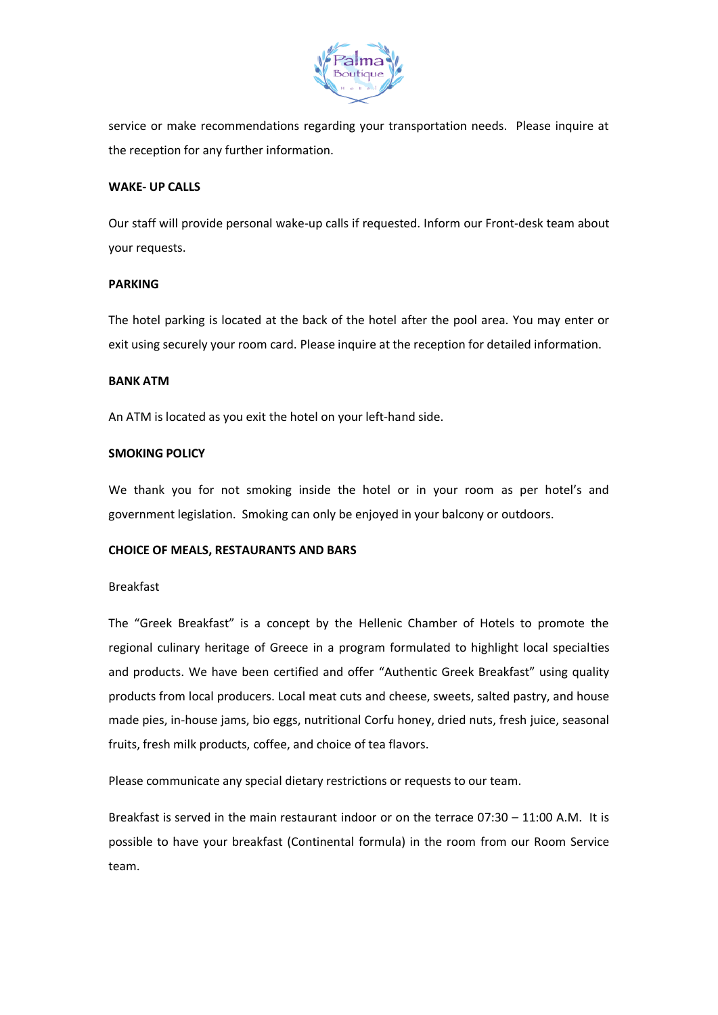

service or make recommendations regarding your transportation needs. Please inquire at the reception for any further information.

# **WAKE- UP CALLS**

Our staff will provide personal wake-up calls if requested. Inform our Front-desk team about your requests.

## **PARKING**

The hotel parking is located at the back of the hotel after the pool area. You may enter or exit using securely your room card. Please inquire at the reception for detailed information.

# **BANK ATM**

An ATM is located as you exit the hotel on your left-hand side.

# **SMOKING POLICY**

We thank you for not smoking inside the hotel or in your room as per hotel's and government legislation. Smoking can only be enjoyed in your balcony or outdoors.

## **CHOICE OF MEALS, RESTAURANTS AND BARS**

## Breakfast

The "Greek Breakfast" is a concept by the Hellenic Chamber of Hotels to promote the regional culinary heritage of Greece in a program formulated to highlight local specialties and products. We have been certified and offer "Authentic Greek Breakfast" using quality products from local producers. Local meat cuts and cheese, sweets, salted pastry, and house made pies, in-house jams, bio eggs, nutritional Corfu honey, dried nuts, fresh juice, seasonal fruits, fresh milk products, coffee, and choice of tea flavors.

Please communicate any special dietary restrictions or requests to our team.

Breakfast is served in the main restaurant indoor or on the terrace 07:30 – 11:00 A.M. It is possible to have your breakfast (Continental formula) in the room from our Room Service team.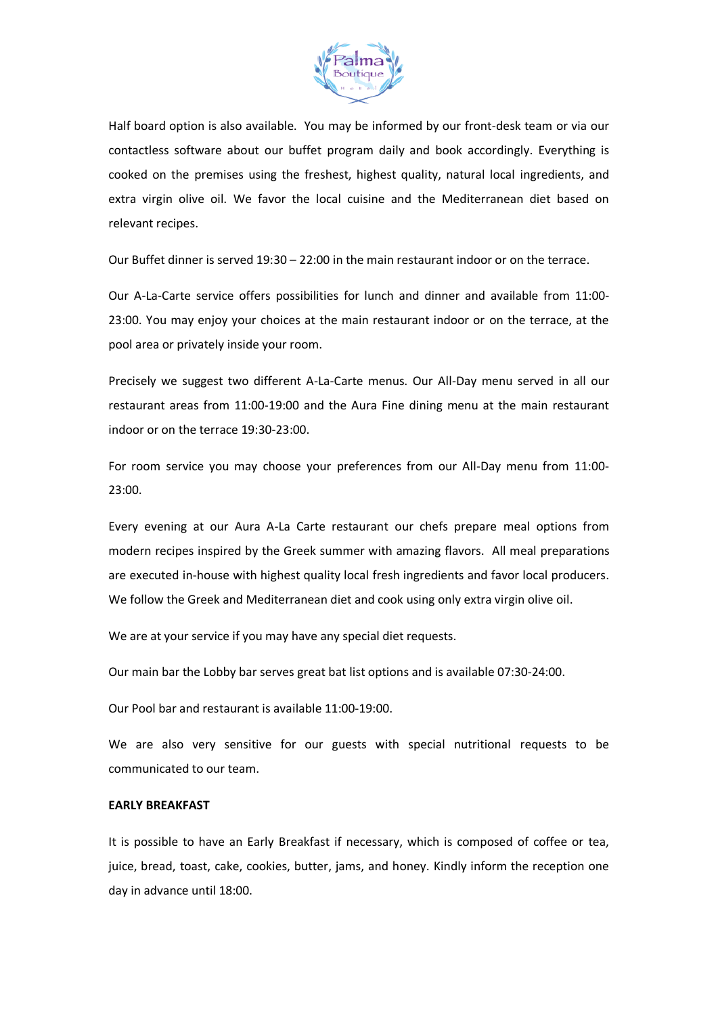

Half board option is also available. You may be informed by our front-desk team or via our contactless software about our buffet program daily and book accordingly. Everything is cooked on the premises using the freshest, highest quality, natural local ingredients, and extra virgin olive oil. We favor the local cuisine and the Mediterranean diet based on relevant recipes.

Our Buffet dinner is served 19:30 – 22:00 in the main restaurant indoor or on the terrace.

Our A-La-Carte service offers possibilities for lunch and dinner and available from 11:00- 23:00. You may enjoy your choices at the main restaurant indoor or on the terrace, at the pool area or privately inside your room.

Precisely we suggest two different A-La-Carte menus. Our All-Day menu served in all our restaurant areas from 11:00-19:00 and the Aura Fine dining menu at the main restaurant indoor or on the terrace 19:30-23:00.

For room service you may choose your preferences from our All-Day menu from 11:00- 23:00.

Every evening at our Aura A-La Carte restaurant our chefs prepare meal options from modern recipes inspired by the Greek summer with amazing flavors. All meal preparations are executed in-house with highest quality local fresh ingredients and favor local producers. We follow the Greek and Mediterranean diet and cook using only extra virgin olive oil.

We are at your service if you may have any special diet requests.

Our main bar the Lobby bar serves great bat list options and is available 07:30-24:00.

Our Pool bar and restaurant is available 11:00-19:00.

We are also very sensitive for our guests with special nutritional requests to be communicated to our team.

#### **EARLY BREAKFAST**

It is possible to have an Early Breakfast if necessary, which is composed of coffee or tea, juice, bread, toast, cake, cookies, butter, jams, and honey. Kindly inform the reception one day in advance until 18:00.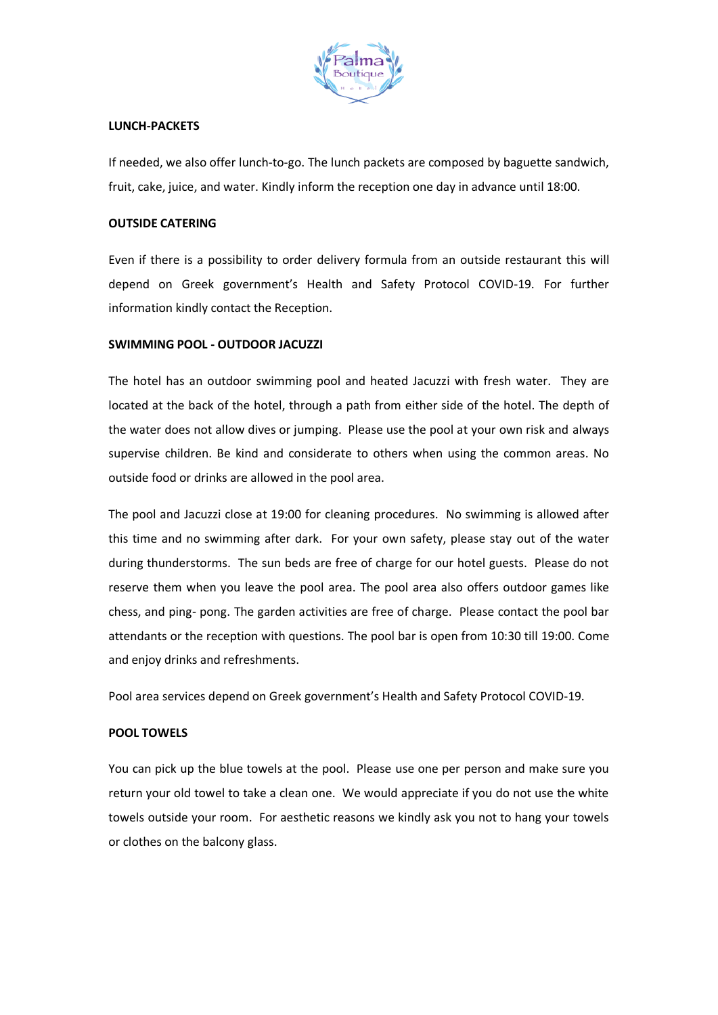

## **LUNCH-PACKETS**

If needed, we also offer lunch-to-go. The lunch packets are composed by baguette sandwich, fruit, cake, juice, and water. Kindly inform the reception one day in advance until 18:00.

## **OUTSIDE CATERING**

Even if there is a possibility to order delivery formula from an outside restaurant this will depend on Greek government's Health and Safety Protocol COVID-19. For further information kindly contact the Reception.

# **SWIMMING POOL - OUTDOOR JACUZZI**

The hotel has an outdoor swimming pool and heated Jacuzzi with fresh water. They are located at the back of the hotel, through a path from either side of the hotel. The depth of the water does not allow dives or jumping. Please use the pool at your own risk and always supervise children. Be kind and considerate to others when using the common areas. No outside food or drinks are allowed in the pool area.

The pool and Jacuzzi close at 19:00 for cleaning procedures. No swimming is allowed after this time and no swimming after dark. For your own safety, please stay out of the water during thunderstorms. The sun beds are free of charge for our hotel guests. Please do not reserve them when you leave the pool area. The pool area also offers outdoor games like chess, and ping- pong. The garden activities are free of charge. Please contact the pool bar attendants or the reception with questions. The pool bar is open from 10:30 till 19:00. Come and enjoy drinks and refreshments.

Pool area services depend on Greek government's Health and Safety Protocol COVID-19.

## **POOL TOWELS**

You can pick up the blue towels at the pool. Please use one per person and make sure you return your old towel to take a clean one. We would appreciate if you do not use the white towels outside your room. For aesthetic reasons we kindly ask you not to hang your towels or clothes on the balcony glass.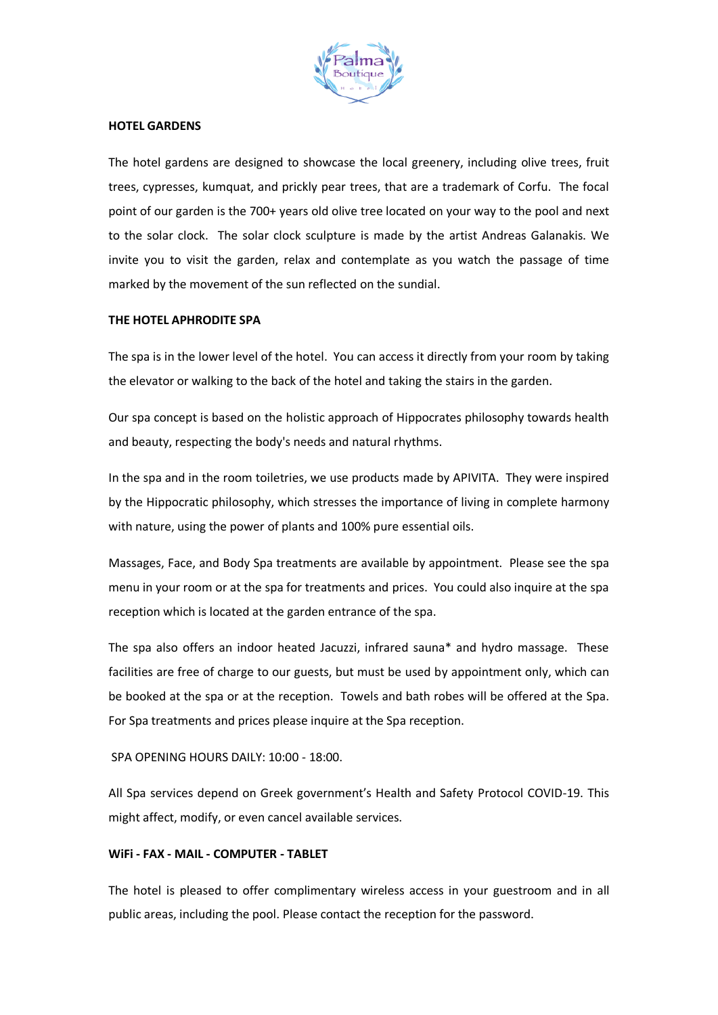

## **HOTEL GARDENS**

The hotel gardens are designed to showcase the local greenery, including olive trees, fruit trees, cypresses, kumquat, and prickly pear trees, that are a trademark of Corfu. The focal point of our garden is the 700+ years old olive tree located on your way to the pool and next to the solar clock. The solar clock sculpture is made by the artist Andreas Galanakis. We invite you to visit the garden, relax and contemplate as you watch the passage of time marked by the movement of the sun reflected on the sundial.

#### **THE HOTEL APHRODITE SPA**

The spa is in the lower level of the hotel. You can access it directly from your room by taking the elevator or walking to the back of the hotel and taking the stairs in the garden.

Our spa concept is based on the holistic approach of Hippocrates philosophy towards health and beauty, respecting the body's needs and natural rhythms.

In the spa and in the room toiletries, we use products made by APIVITA. They were inspired by the Hippocratic philosophy, which stresses the importance of living in complete harmony with nature, using the power of plants and 100% pure essential oils.

Massages, Face, and Body Spa treatments are available by appointment. Please see the spa menu in your room or at the spa for treatments and prices. You could also inquire at the spa reception which is located at the garden entrance of the spa.

The spa also offers an indoor heated Jacuzzi, infrared sauna\* and hydro massage. These facilities are free of charge to our guests, but must be used by appointment only, which can be booked at the spa or at the reception. Towels and bath robes will be offered at the Spa. For Spa treatments and prices please inquire at the Spa reception.

## SPA OPENING HOURS DAILY: 10:00 - 18:00.

All Spa services depend on Greek government's Health and Safety Protocol COVID-19. This might affect, modify, or even cancel available services.

## **WiFi - FAX - MAIL - COMPUTER - TABLET**

The hotel is pleased to offer complimentary wireless access in your guestroom and in all public areas, including the pool. Please contact the reception for the password.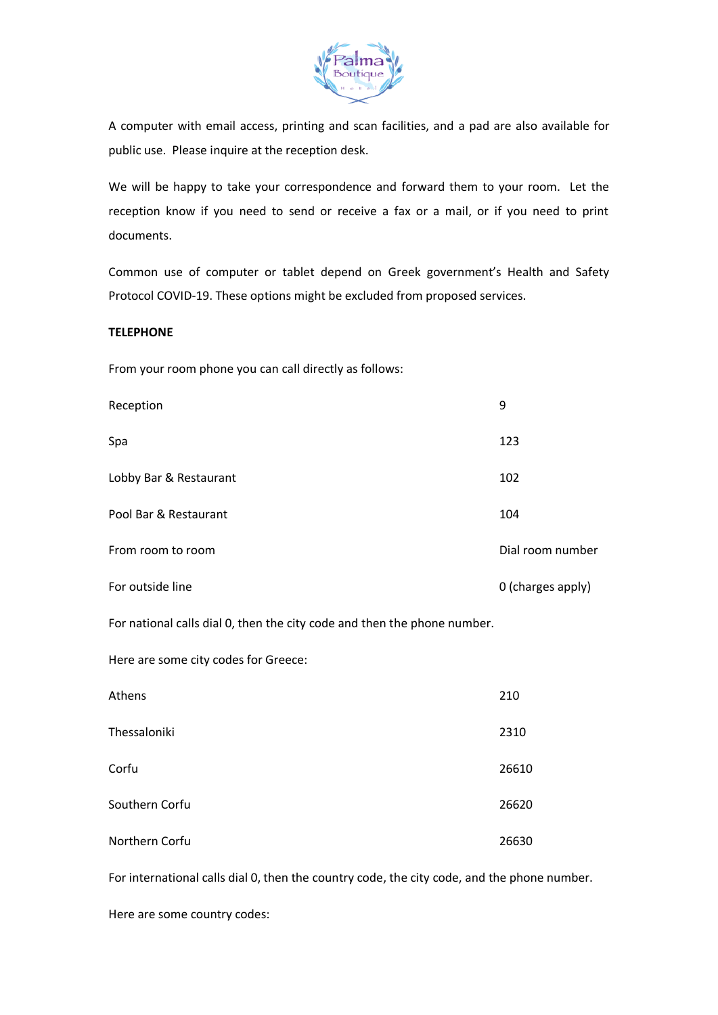

A computer with email access, printing and scan facilities, and a pad are also available for public use. Please inquire at the reception desk.

We will be happy to take your correspondence and forward them to your room. Let the reception know if you need to send or receive a fax or a mail, or if you need to print documents.

Common use of computer or tablet depend on Greek government's Health and Safety Protocol COVID-19. These options might be excluded from proposed services.

## **TELEPHONE**

From your room phone you can call directly as follows:

| Reception              | 9                 |
|------------------------|-------------------|
| Spa                    | 123               |
| Lobby Bar & Restaurant | 102               |
| Pool Bar & Restaurant  | 104               |
| From room to room      | Dial room number  |
| For outside line       | 0 (charges apply) |

For national calls dial 0, then the city code and then the phone number.

Here are some city codes for Greece:

| Athens         | 210   |
|----------------|-------|
| Thessaloniki   | 2310  |
| Corfu          | 26610 |
| Southern Corfu | 26620 |
| Northern Corfu | 26630 |

For international calls dial 0, then the country code, the city code, and the phone number.

Here are some country codes: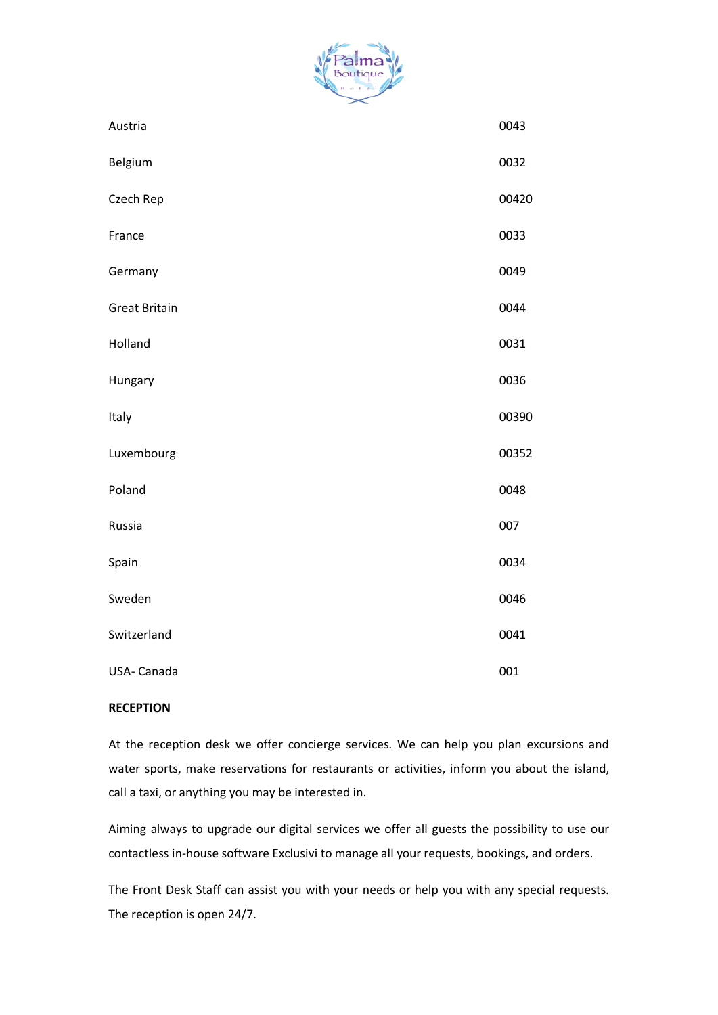

| Austria              | 0043  |
|----------------------|-------|
| Belgium              | 0032  |
| Czech Rep            | 00420 |
| France               | 0033  |
| Germany              | 0049  |
| <b>Great Britain</b> | 0044  |
| Holland              | 0031  |
| Hungary              | 0036  |
| Italy                | 00390 |
| Luxembourg           | 00352 |
| Poland               | 0048  |
| Russia               | 007   |
| Spain                | 0034  |
| Sweden               | 0046  |
| Switzerland          | 0041  |
| USA-Canada           | 001   |

## **RECEPTION**

At the reception desk we offer concierge services. We can help you plan excursions and water sports, make reservations for restaurants or activities, inform you about the island, call a taxi, or anything you may be interested in.

Aiming always to upgrade our digital services we offer all guests the possibility to use our contactless in-house software Exclusivi to manage all your requests, bookings, and orders.

The Front Desk Staff can assist you with your needs or help you with any special requests. The reception is open 24/7.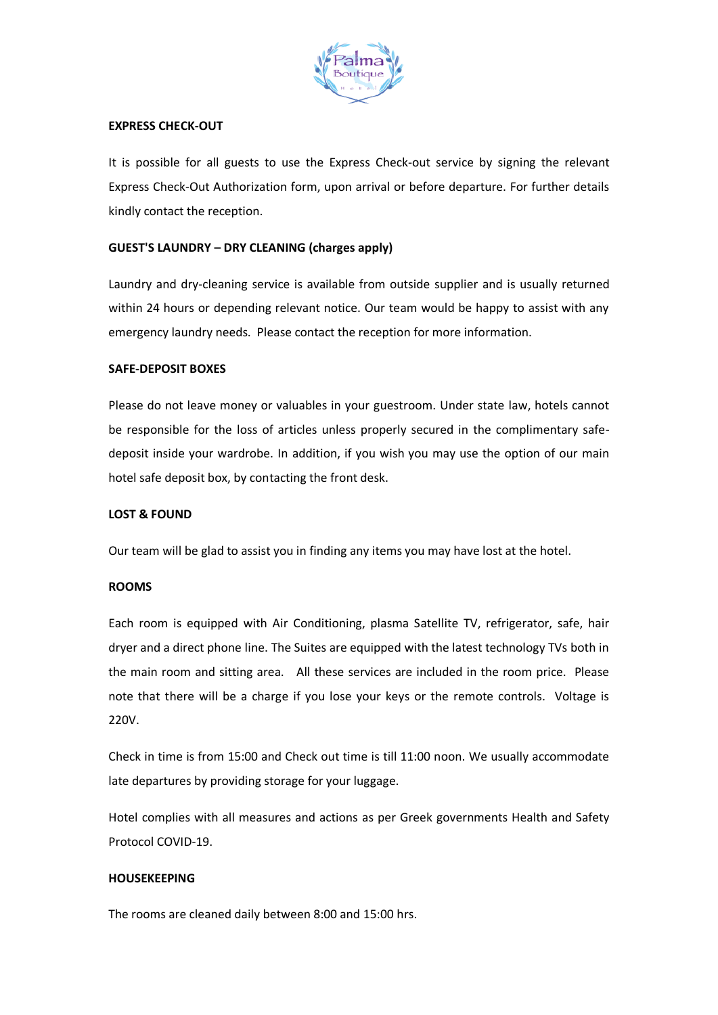

### **EXPRESS CHECK-OUT**

It is possible for all guests to use the Express Check-out service by signing the relevant Express Check-Out Authorization form, upon arrival or before departure. For further details kindly contact the reception.

## **GUEST'S LAUNDRY – DRY CLEANING (charges apply)**

Laundry and dry-cleaning service is available from outside supplier and is usually returned within 24 hours or depending relevant notice. Our team would be happy to assist with any emergency laundry needs. Please contact the reception for more information.

#### **SAFE-DEPOSIT BOXES**

Please do not leave money or valuables in your guestroom. Under state law, hotels cannot be responsible for the loss of articles unless properly secured in the complimentary safedeposit inside your wardrobe. In addition, if you wish you may use the option of our main hotel safe deposit box, by contacting the front desk.

### **LOST & FOUND**

Our team will be glad to assist you in finding any items you may have lost at the hotel.

#### **ROOMS**

Each room is equipped with Air Conditioning, plasma Satellite TV, refrigerator, safe, hair dryer and a direct phone line. The Suites are equipped with the latest technology TVs both in the main room and sitting area. All these services are included in the room price. Please note that there will be a charge if you lose your keys or the remote controls. Voltage is 220V.

Check in time is from 15:00 and Check out time is till 11:00 noon. We usually accommodate late departures by providing storage for your luggage.

Hotel complies with all measures and actions as per Greek governments Health and Safety Protocol COVID-19.

# **HOUSEKEEPING**

The rooms are cleaned daily between 8:00 and 15:00 hrs.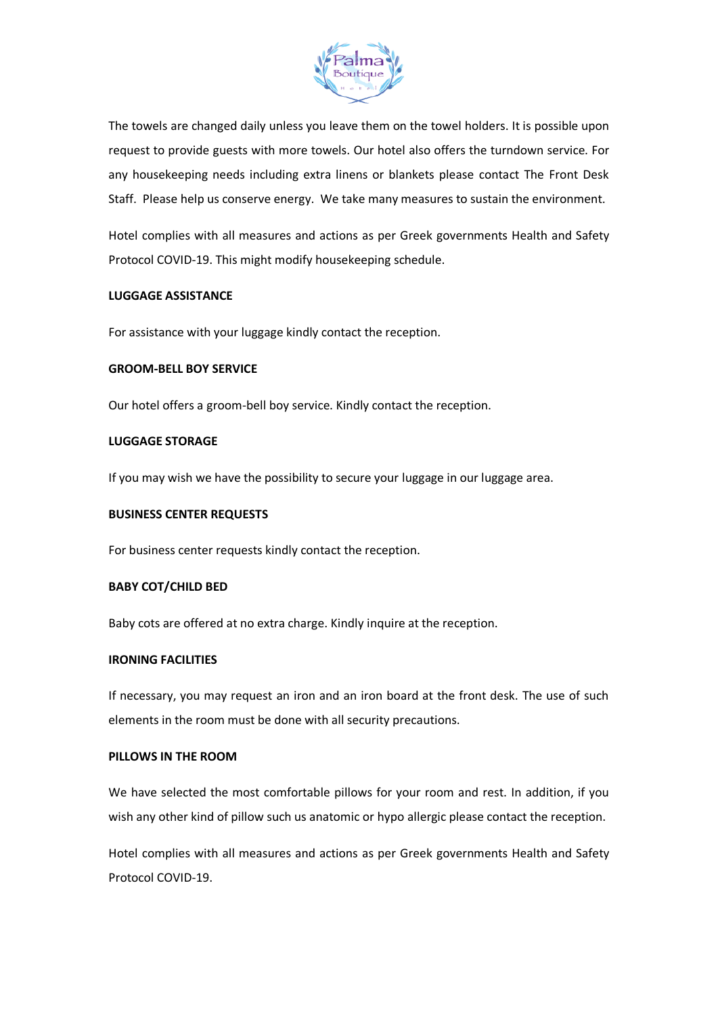

The towels are changed daily unless you leave them on the towel holders. It is possible upon request to provide guests with more towels. Our hotel also offers the turndown service. For any housekeeping needs including extra linens or blankets please contact The Front Desk Staff. Please help us conserve energy. We take many measures to sustain the environment.

Hotel complies with all measures and actions as per Greek governments Health and Safety Protocol COVID-19. This might modify housekeeping schedule.

## **LUGGAGE ASSISTANCE**

For assistance with your luggage kindly contact the reception.

## **GROOM-BELL BOY SERVICE**

Our hotel offers a groom-bell boy service. Kindly contact the reception.

#### **LUGGAGE STORAGE**

If you may wish we have the possibility to secure your luggage in our luggage area.

## **BUSINESS CENTER REQUESTS**

For business center requests kindly contact the reception.

## **BABY COT/CHILD BED**

Baby cots are offered at no extra charge. Kindly inquire at the reception.

#### **IRONING FACILITIES**

If necessary, you may request an iron and an iron board at the front desk. The use of such elements in the room must be done with all security precautions.

## **PILLOWS IN THE ROOM**

We have selected the most comfortable pillows for your room and rest. In addition, if you wish any other kind of pillow such us anatomic or hypo allergic please contact the reception.

Hotel complies with all measures and actions as per Greek governments Health and Safety Protocol COVID-19.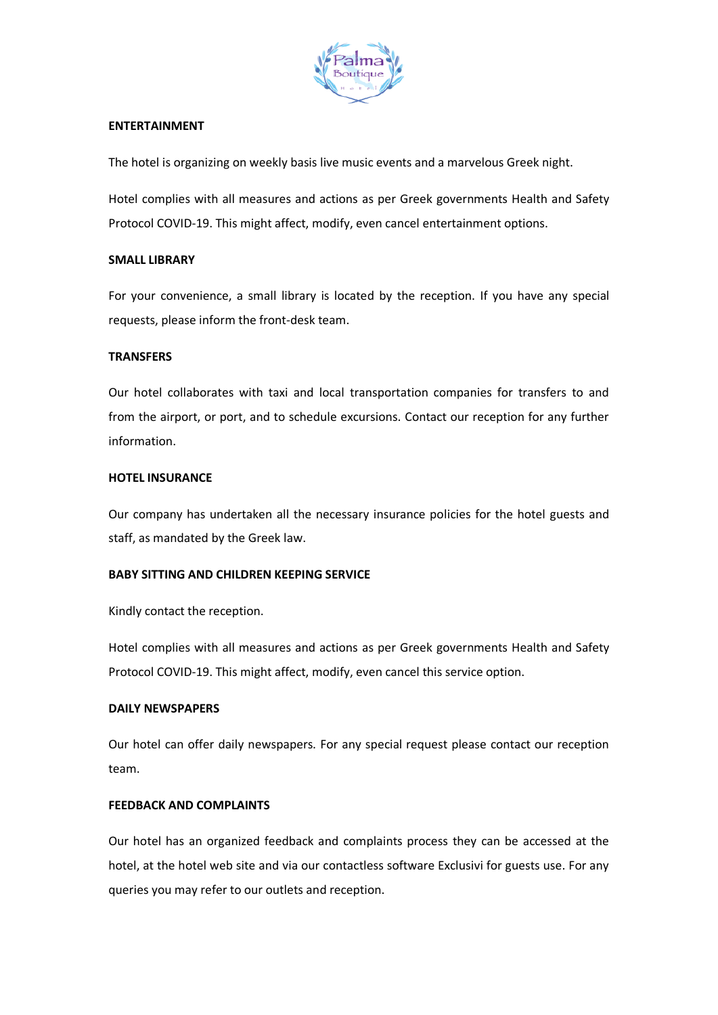

# **ENTERTAINMENT**

The hotel is organizing on weekly basis live music events and a marvelous Greek night.

Hotel complies with all measures and actions as per Greek governments Health and Safety Protocol COVID-19. This might affect, modify, even cancel entertainment options.

## **SMALL LIBRARY**

For your convenience, a small library is located by the reception. If you have any special requests, please inform the front-desk team.

## **TRANSFERS**

Our hotel collaborates with taxi and local transportation companies for transfers to and from the airport, or port, and to schedule excursions. Contact our reception for any further information.

## **HOTEL INSURANCE**

Our company has undertaken all the necessary insurance policies for the hotel guests and staff, as mandated by the Greek law.

## **BABY SITTING AND CHILDREN KEEPING SERVICE**

Kindly contact the reception.

Hotel complies with all measures and actions as per Greek governments Health and Safety Protocol COVID-19. This might affect, modify, even cancel this service option.

## **DAILY NEWSPAPERS**

Our hotel can offer daily newspapers. For any special request please contact our reception team.

## **FEEDBACK AND COMPLAINTS**

Our hotel has an organized feedback and complaints process they can be accessed at the hotel, at the hotel web site and via our contactless software Exclusivi for guests use. For any queries you may refer to our outlets and reception.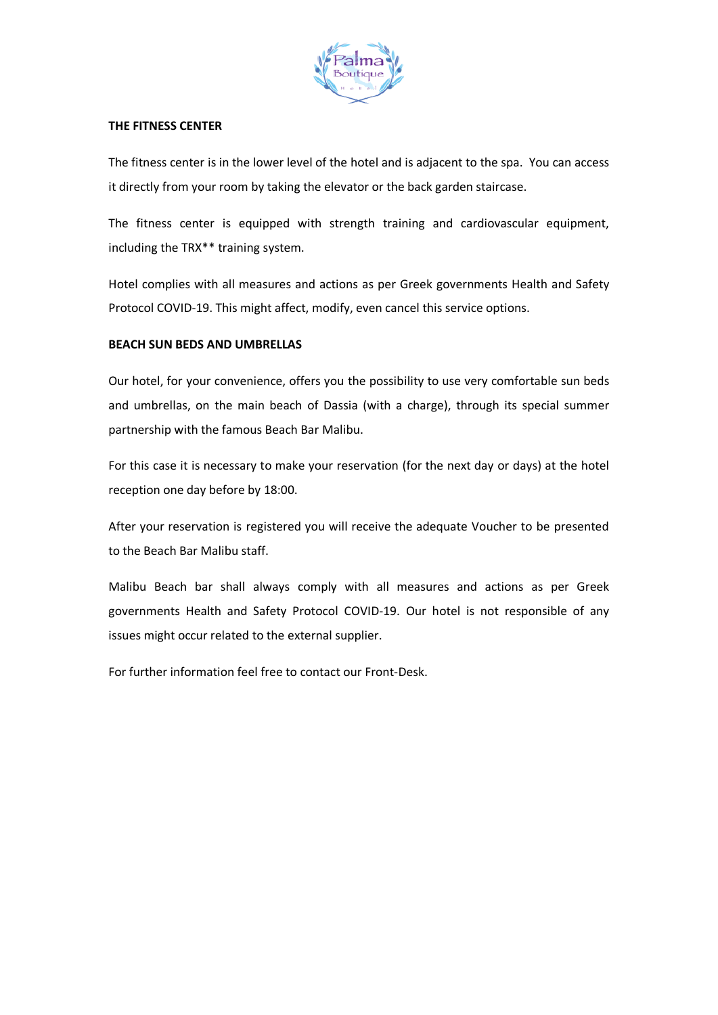

## **THE FITNESS CENTER**

The fitness center is in the lower level of the hotel and is adjacent to the spa. You can access it directly from your room by taking the elevator or the back garden staircase.

The fitness center is equipped with strength training and cardiovascular equipment, including the TRX\*\* training system.

Hotel complies with all measures and actions as per Greek governments Health and Safety Protocol COVID-19. This might affect, modify, even cancel this service options.

# **BEACH SUN BEDS AND UMBRELLAS**

Our hotel, for your convenience, offers you the possibility to use very comfortable sun beds and umbrellas, on the main beach of Dassia (with a charge), through its special summer partnership with the famous Beach Bar Malibu.

For this case it is necessary to make your reservation (for the next day or days) at the hotel reception one day before by 18:00.

After your reservation is registered you will receive the adequate Voucher to be presented to the Beach Bar Malibu staff.

Malibu Beach bar shall always comply with all measures and actions as per Greek governments Health and Safety Protocol COVID-19. Our hotel is not responsible of any issues might occur related to the external supplier.

For further information feel free to contact our Front-Desk.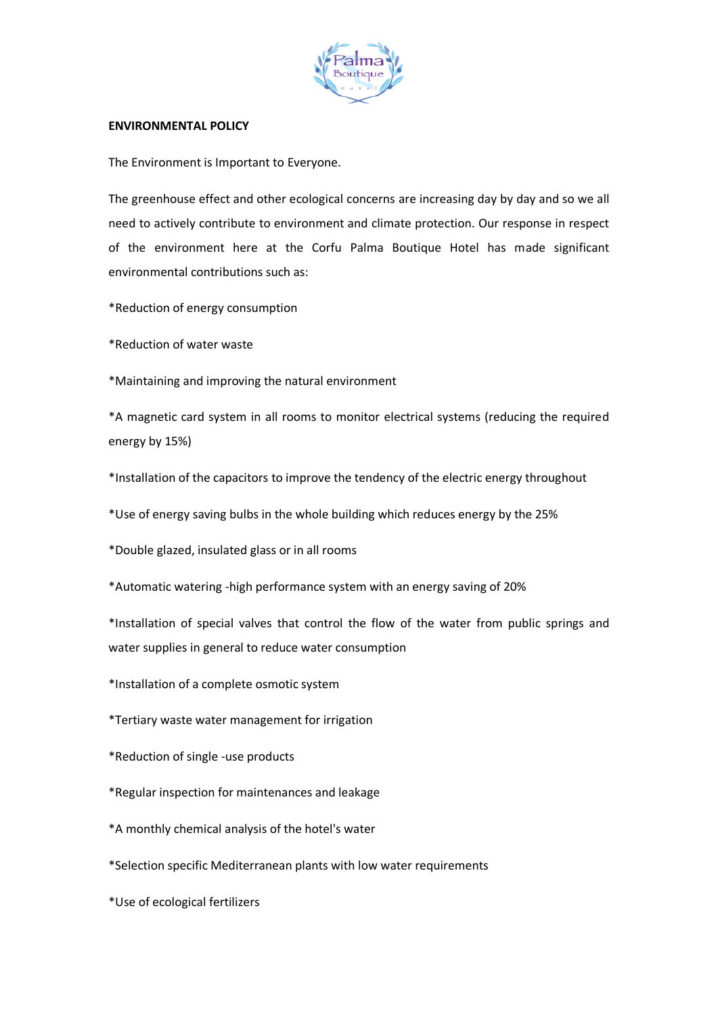

# **ENVIRONMENTAL POLICY**

The Environment is Important to Everyone.

The greenhouse effect and other ecological concerns are increasing day by day and so we all need to actively contribute to environment and climate protection. Our response in respect of the environment here at the Corfu Palma Boutique Hotel has made significant environmental contributions such as:

\*Reduction of energy consumption

\*Reduction of water waste

\*Maintaining and improving the natural environment

\*A magnetic card system in all rooms to monitor electrical systems (reducing the required energy by 15%)

\*Installation of the capacitors to improve the tendency of the electric energy throughout

\*Use of energy saving bulbs in the whole building which reduces energy by the 25%

\*Double glazed, insulated glass or in all rooms

\*Automatic watering -high performance system with an energy saving of 20%

\*Installation of special valves that control the flow of the water from public springs and water supplies in general to reduce water consumption

\*Installation of a complete osmotic system

\*Tertiary waste water management for irrigation

\*Reduction of single -use products

\*Regular inspection for maintenances and leakage

\*A monthly chemical analysis of the hotel's water

\*Selection specific Mediterranean plants with low water requirements

\*Use of ecological fertilizers